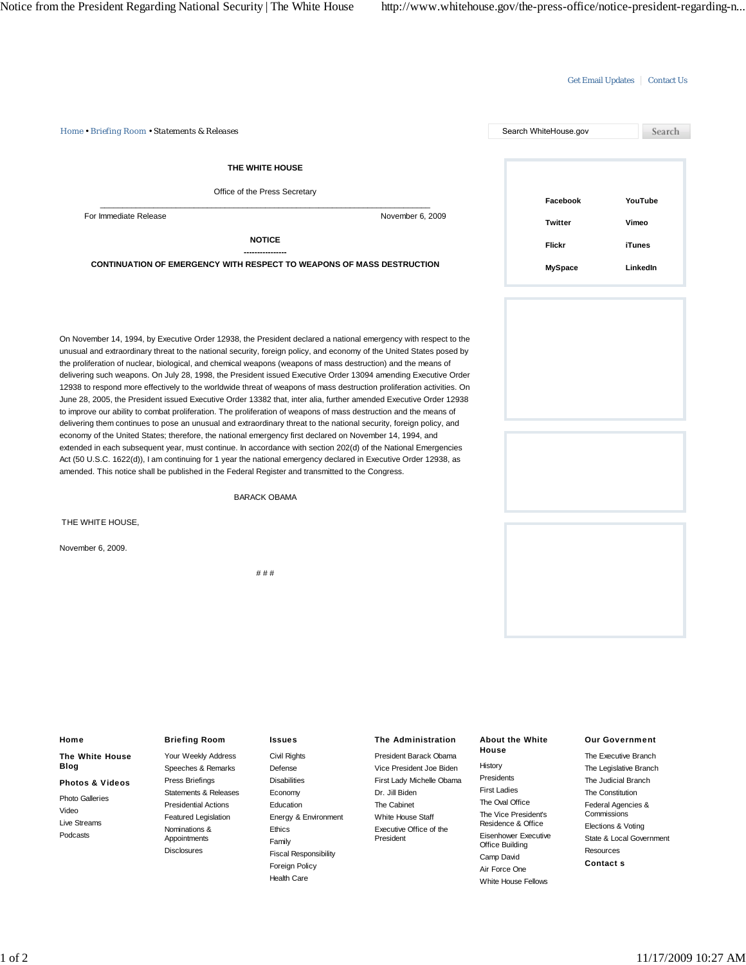## Get Email Updates | Contact Us *Home • Briefing Room • Statements & Releases* Search WhiteHouse.gov Search **THE WHITE HOUSE** Office of the Press Secretary **Facebook YouTube**  $\_$  , and the set of the set of the set of the set of the set of the set of the set of the set of the set of the set of the set of the set of the set of the set of the set of the set of the set of the set of the set of th For Immediate Release November 6, 2009 **Twitter Vimeo NOTICE Flickr iTunes ---------------- CONTINUATION OF EMERGENCY WITH RESPECT TO WEAPONS OF MASS DESTRUCTION MySpace LinkedIn** On November 14, 1994, by Executive Order 12938, the President declared a national emergency with respect to the unusual and extraordinary threat to the national security, foreign policy, and economy of the United States posed by the proliferation of nuclear, biological, and chemical weapons (weapons of mass destruction) and the means of delivering such weapons. On July 28, 1998, the President issued Executive Order 13094 amending Executive Order 12938 to respond more effectively to the worldwide threat of weapons of mass destruction proliferation activities. On June 28, 2005, the President issued Executive Order 13382 that, inter alia, further amended Executive Order 12938 to improve our ability to combat proliferation. The proliferation of weapons of mass destruction and the means of delivering them continues to pose an unusual and extraordinary threat to the national security, foreign policy, and economy of the United States; therefore, the national emergency first declared on November 14, 1994, and extended in each subsequent year, must continue. In accordance with section 202(d) of the National Emergencies Act (50 U.S.C. 1622(d)), I am continuing for 1 year the national emergency declared in Executive Order 12938, as amended. This notice shall be published in the Federal Register and transmitted to the Congress. BARACK OBAMA THE WHITE HOUSE, November 6, 2009. # # # **Home Briefing Room Issues The Administration About the White Our Government House** Your Weekly Address Civil Rights President Barack Obama The Executive Branch **The White House** History **Blog** Speeches & Remarks Defense Vice President Joe Biden The Legislative Branch Presidents Press Briefings **Disabilities** First Lady Michelle Obama The Judicial Branch **Photos & Videos** First Ladies Dr. Jill Biden Statements & Releases Economy The Constitution Photo Galleries The Oval Office Presidential Actions The Cabinet Federal Agencies & Education Video The Vice President's **Commissions** Energy & Environment Featured Legislation White House Staff Live Streams Residence & Office Elections & Voting Executive Office of the Nominations & Ethics Podcasts Eisenhower Executive Appointments President State & Local Government Family Office Building **Disclosures** Resources Fiscal Responsibility Camp David **Contact s** Foreign Policy Air Force One

Health Care

White House Fellows